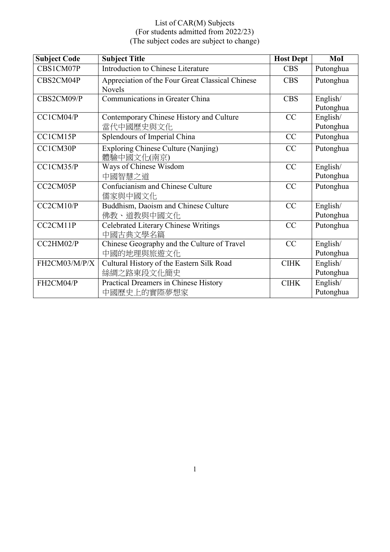| <b>Subject Code</b> | <b>Subject Title</b>                                       | <b>Host Dept</b> | MoI                   |
|---------------------|------------------------------------------------------------|------------------|-----------------------|
| CBS1CM07P           | Introduction to Chinese Literature                         | <b>CBS</b>       | Putonghua             |
| CBS2CM04P           | Appreciation of the Four Great Classical Chinese<br>Novels | <b>CBS</b>       | Putonghua             |
| CBS2CM09/P          | Communications in Greater China                            | <b>CBS</b>       | English/<br>Putonghua |
| CC1CM04/P           | Contemporary Chinese History and Culture<br>當代中國歷史與文化      | CC               | English/<br>Putonghua |
| CC1CM15P            | Splendours of Imperial China                               | CC               | Putonghua             |
| CC1CM30P            | <b>Exploring Chinese Culture (Nanjing)</b><br>體驗中國文化(南京)   | CC               | Putonghua             |
| CC1CM35/P           | Ways of Chinese Wisdom<br>中國智慧之道                           | CC               | English/<br>Putonghua |
| CC2CM05P            | Confucianism and Chinese Culture<br>儒家與中國文化                | CC               | Putonghua             |
| CC2CM10/P           | Buddhism, Daoism and Chinese Culture<br>佛教、道教與中國文化         | CC               | English/<br>Putonghua |
| CC2CM11P            | Celebrated Literary Chinese Writings<br>中國古典文學名篇           | CC               | Putonghua             |
| CC2HM02/P           | Chinese Geography and the Culture of Travel<br>中國的地理與旅遊文化  | CC               | English/<br>Putonghua |
| FH2CM03/M/P/X       | Cultural History of the Eastern Silk Road<br>絲綢之路東段文化簡史    | CIHK             | English/<br>Putonghua |
| FH2CM04/P           | Practical Dreamers in Chinese History<br>中國歷史上的實際夢想家       | <b>CIHK</b>      | English/<br>Putonghua |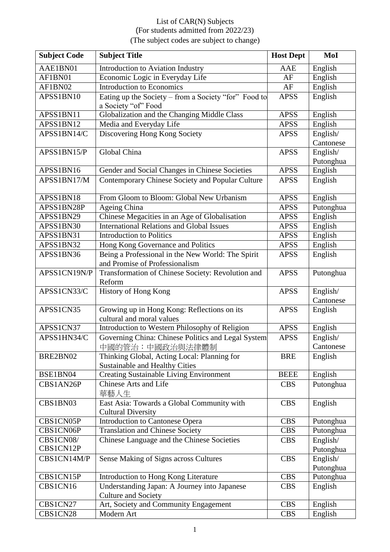| <b>Subject Code</b> | <b>Subject Title</b>                                                                | <b>Host Dept</b> | MoI                   |
|---------------------|-------------------------------------------------------------------------------------|------------------|-----------------------|
| AAE1BN01            | <b>Introduction to Aviation Industry</b>                                            | <b>AAE</b>       | English               |
| AF1BN01             | Economic Logic in Everyday Life                                                     | AF               | English               |
| AF1BN02             | <b>Introduction to Economics</b>                                                    | AF               | English               |
| APSS1BN10           | Eating up the Society - from a Society "for" Food to<br>a Society "of" Food         | <b>APSS</b>      | English               |
| APSS1BN11           | Globalization and the Changing Middle Class                                         | <b>APSS</b>      | English               |
| APSS1BN12           | Media and Everyday Life                                                             | <b>APSS</b>      | English               |
| APSS1BN14/C         | Discovering Hong Kong Society                                                       | <b>APSS</b>      | English/<br>Cantonese |
| APSS1BN15/P         | Global China                                                                        | <b>APSS</b>      | English/<br>Putonghua |
| APSS1BN16           | Gender and Social Changes in Chinese Societies                                      | <b>APSS</b>      | English               |
| APSS1BN17/M         | Contemporary Chinese Society and Popular Culture                                    | <b>APSS</b>      | English               |
| APSS1BN18           | From Gloom to Bloom: Global New Urbanism                                            | <b>APSS</b>      | English               |
| APSS1BN28P          | Ageing China                                                                        | <b>APSS</b>      | Putonghua             |
| APSS1BN29           | Chinese Megacities in an Age of Globalisation                                       | <b>APSS</b>      | English               |
| APSS1BN30           | <b>International Relations and Global Issues</b>                                    | <b>APSS</b>      | English               |
| APSS1BN31           | <b>Introduction to Politics</b>                                                     | <b>APSS</b>      | English               |
| APSS1BN32           | Hong Kong Governance and Politics                                                   | <b>APSS</b>      | English               |
| APSS1BN36           | Being a Professional in the New World: The Spirit<br>and Promise of Professionalism | <b>APSS</b>      | English               |
| APSS1CN19N/P        | Transformation of Chinese Society: Revolution and<br>Reform                         | <b>APSS</b>      | Putonghua             |
| APSS1CN33/C         | History of Hong Kong                                                                | <b>APSS</b>      | English/<br>Cantonese |
| APSS1CN35           | Growing up in Hong Kong: Reflections on its<br>cultural and moral values            | <b>APSS</b>      | English               |
| APSS1CN37           | Introduction to Western Philosophy of Religion                                      | <b>APSS</b>      | English               |
| APSS1HN34/C         | Governing China: Chinese Politics and Legal System<br>中國的管治:中國政治與法律體制               | <b>APSS</b>      | English/<br>Cantonese |
| BRE2BN02            | Thinking Global, Acting Local: Planning for<br>Sustainable and Healthy Cities       | <b>BRE</b>       | English               |
| BSE1BN04            | <b>Creating Sustainable Living Environment</b>                                      | <b>BEEE</b>      | English               |
| CBS1AN26P           | <b>Chinese Arts and Life</b><br>華藝人生                                                | <b>CBS</b>       | Putonghua             |
| CBS1BN03            | East Asia: Towards a Global Community with<br><b>Cultural Diversity</b>             | <b>CBS</b>       | English               |
| CBS1CN05P           | <b>Introduction to Cantonese Opera</b>                                              | <b>CBS</b>       | Putonghua             |
| CBS1CN06P           | <b>Translation and Chinese Society</b>                                              | <b>CBS</b>       | Putonghua             |
| CBS1CN08/           | Chinese Language and the Chinese Societies                                          | <b>CBS</b>       | English/              |
| CBS1CN12P           |                                                                                     |                  | Putonghua             |
| CBS1CN14M/P         | Sense Making of Signs across Cultures                                               | <b>CBS</b>       | English/<br>Putonghua |
| CBS1CN15P           | Introduction to Hong Kong Literature                                                | <b>CBS</b>       | Putonghua             |
| CBS1CN16            | Understanding Japan: A Journey into Japanese<br><b>Culture and Society</b>          | <b>CBS</b>       | English               |
| CBS1CN27            | Art, Society and Community Engagement                                               | <b>CBS</b>       | English               |
| CBS1CN28            | Modern Art                                                                          | <b>CBS</b>       | English               |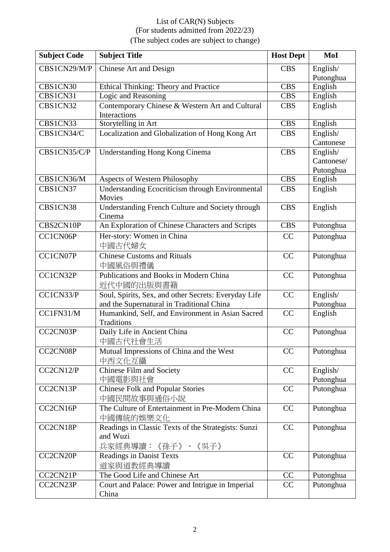| <b>Subject Code</b> | <b>Subject Title</b>                                                                              | <b>Host Dept</b> | MoI                                 |
|---------------------|---------------------------------------------------------------------------------------------------|------------------|-------------------------------------|
| CBS1CN29/M/P        | Chinese Art and Design                                                                            | <b>CBS</b>       | English/<br>Putonghua               |
| CBS1CN30            | Ethical Thinking: Theory and Practice                                                             | <b>CBS</b>       | English                             |
| CBS1CN31            | Logic and Reasoning                                                                               | <b>CBS</b>       | English                             |
| CBS1CN32            | Contemporary Chinese & Western Art and Cultural<br>Interactions                                   | <b>CBS</b>       | English                             |
| CBS1CN33            | Storytelling in Art                                                                               | <b>CBS</b>       | English                             |
| CBS1CN34/C          | Localization and Globalization of Hong Kong Art                                                   | <b>CBS</b>       | English/<br>Cantonese               |
| CBS1CN35/C/P        | <b>Understanding Hong Kong Cinema</b>                                                             | <b>CBS</b>       | English/<br>Cantonese/<br>Putonghua |
| CBS1CN36/M          | Aspects of Western Philosophy                                                                     | <b>CBS</b>       | English                             |
| CBS1CN37            | <b>Understanding Ecocriticism through Environmental</b><br>Movies                                 | <b>CBS</b>       | English                             |
| CBS1CN38            | Understanding French Culture and Society through<br>Cinema                                        | <b>CBS</b>       | English                             |
| CBS2CN10P           | An Exploration of Chinese Characters and Scripts                                                  | <b>CBS</b>       | Putonghua                           |
| CC1CN06P            | Her-story: Women in China<br>中國古代婦女                                                               | CC               | Putonghua                           |
| CC1CN07P            | <b>Chinese Customs and Rituals</b><br>中國風俗與禮儀                                                     | CC               | Putonghua                           |
| CC1CN32P            | Publications and Books in Modern China<br>近代中國的出版與書籍                                              | CC               | Putonghua                           |
| CC1CN33/P           | Soul, Spirits, Sex, and other Secrets: Everyday Life<br>and the Supernatural in Traditional China | CC               | English/<br>Putonghua               |
| CC1FN31/M           | Humankind, Self, and Environment in Asian Sacred<br>Traditions                                    | CC               | English                             |
| CC2CN03P            | Daily Life in Ancient China<br>中國古代社會生活                                                           | CC               | Putonghua                           |
| CC2CN08P            | Mutual Impressions of China and the West<br>中西文化互攝                                                | CC               | Putonghua                           |
| CC2CN12/P           | <b>Chinese Film and Society</b><br>中國電影與社會                                                        | CC               | English/<br>Putonghua               |
| CC2CN13P            | <b>Chinese Folk and Popular Stories</b><br>中國民間故事與通俗小說                                            | CC               | Putonghua                           |
| CC2CN16P            | The Culture of Entertainment in Pre-Modern China<br>中國傳統的娛樂文化                                     | CC               | Putonghua                           |
| CC2CN18P            | Readings in Classic Texts of the Strategists: Sunzi<br>and Wuzi<br>兵家經典導讀:《孫子》、《吳子》               | CC               | Putonghua                           |
| CC2CN20P            | Readings in Daoist Texts<br>道家與道教經典導讀                                                             | CC               | Putonghua                           |
| CC2CN21P            | The Good Life and Chinese Art                                                                     | CC               | Putonghua                           |
| CC2CN23P            | Court and Palace: Power and Intrigue in Imperial<br>China                                         | CC               | Putonghua                           |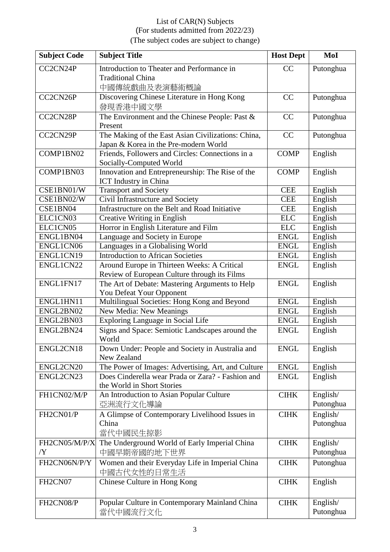| <b>Subject Code</b> | <b>Subject Title</b>                                                                        | <b>Host Dept</b> | MoI                   |
|---------------------|---------------------------------------------------------------------------------------------|------------------|-----------------------|
| CC2CN24P            | Introduction to Theater and Performance in<br><b>Traditional China</b><br>中國傳統戲曲及表演藝術概論     | CC               | Putonghua             |
| CC2CN26P            | Discovering Chinese Literature in Hong Kong<br>發現香港中國文學                                     | CC               | Putonghua             |
| CC2CN28P            | The Environment and the Chinese People: Past &<br>Present                                   | CC               | Putonghua             |
| CC2CN29P            | The Making of the East Asian Civilizations: China,<br>Japan & Korea in the Pre-modern World | CC               | Putonghua             |
| COMP1BN02           | Friends, Followers and Circles: Connections in a<br>Socially-Computed World                 | <b>COMP</b>      | English               |
| COMP1BN03           | Innovation and Entrepreneurship: The Rise of the<br><b>ICT</b> Industry in China            | <b>COMP</b>      | English               |
| CSE1BN01/W          | <b>Transport and Society</b>                                                                | <b>CEE</b>       | English               |
| CSE1BN02/W          | Civil Infrastructure and Society                                                            | <b>CEE</b>       | English               |
| CSE1BN04            | Infrastructure on the Belt and Road Initiative                                              | <b>CEE</b>       | English               |
| ELC1CN03            | Creative Writing in English                                                                 | <b>ELC</b>       | English               |
| ELC1CN05            | Horror in English Literature and Film                                                       | <b>ELC</b>       | English               |
| ENGL1BN04           | Language and Society in Europe                                                              | <b>ENGL</b>      | English               |
| ENGL1CN06           | Languages in a Globalising World                                                            | <b>ENGL</b>      | English               |
| ENGL1CN19           | <b>Introduction to African Societies</b>                                                    | <b>ENGL</b>      | English               |
| ENGL1CN22           | Around Europe in Thirteen Weeks: A Critical<br>Review of European Culture through its Films | <b>ENGL</b>      | English               |
| ENGL1FN17           | The Art of Debate: Mastering Arguments to Help<br>You Defeat Your Opponent                  | <b>ENGL</b>      | English               |
| ENGL1HN11           | Multilingual Societies: Hong Kong and Beyond                                                | <b>ENGL</b>      | English               |
| ENGL2BN02           | New Media: New Meanings                                                                     | <b>ENGL</b>      | English               |
| ENGL2BN03           | Exploring Language in Social Life                                                           | <b>ENGL</b>      | English               |
| ENGL2BN24           | Signs and Space: Semiotic Landscapes around the<br>World                                    | <b>ENGL</b>      | English               |
| ENGL2CN18           | Down Under: People and Society in Australia and<br>New Zealand                              | <b>ENGL</b>      | English               |
| ENGL2CN20           | The Power of Images: Advertising, Art, and Culture                                          | <b>ENGL</b>      | English               |
| ENGL2CN23           | Does Cinderella wear Prada or Zara? - Fashion and<br>the World in Short Stories             | <b>ENGL</b>      | English               |
| FH1CN02/M/P         | An Introduction to Asian Popular Culture<br>亞洲流行文化導論                                        | <b>CIHK</b>      | English/<br>Putonghua |
| FH2CN01/P           | A Glimpse of Contemporary Livelihood Issues in                                              | <b>CIHK</b>      | English/              |
|                     | China<br>當代中國民生掠影                                                                           |                  | Putonghua             |
| FH2CN05/M/P/X<br>/Y | The Underground World of Early Imperial China<br>中國早期帝國的地下世界                                | <b>CIHK</b>      | English/<br>Putonghua |
| FH2CN06N/P/Y        | Women and their Everyday Life in Imperial China<br>中國古代女性的日常生活                              | <b>CIHK</b>      | Putonghua             |
| FH2CN07             | Chinese Culture in Hong Kong                                                                | <b>CIHK</b>      | English               |
| FH2CN08/P           | Popular Culture in Contemporary Mainland China<br>當代中國流行文化                                  | <b>CIHK</b>      | English/<br>Putonghua |